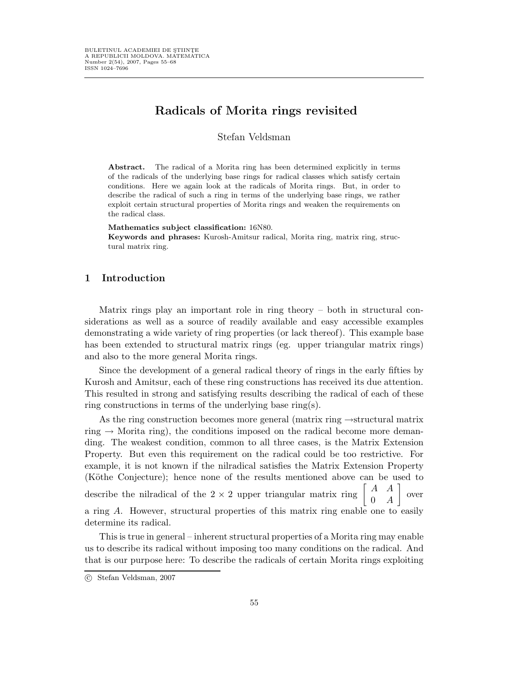# Radicals of Morita rings revisited

Stefan Veldsman

Abstract. The radical of a Morita ring has been determined explicitly in terms of the radicals of the underlying base rings for radical classes which satisfy certain conditions. Here we again look at the radicals of Morita rings. But, in order to describe the radical of such a ring in terms of the underlying base rings, we rather exploit certain structural properties of Morita rings and weaken the requirements on the radical class.

#### Mathematics subject classification: 16N80.

Keywords and phrases: Kurosh-Amitsur radical, Morita ring, matrix ring, structural matrix ring.

### 1 Introduction

Matrix rings play an important role in ring theory – both in structural considerations as well as a source of readily available and easy accessible examples demonstrating a wide variety of ring properties (or lack thereof). This example base has been extended to structural matrix rings (eg. upper triangular matrix rings) and also to the more general Morita rings.

Since the development of a general radical theory of rings in the early fifties by Kurosh and Amitsur, each of these ring constructions has received its due attention. This resulted in strong and satisfying results describing the radical of each of these ring constructions in terms of the underlying base ring(s).

As the ring construction becomes more general (matrix ring →structural matrix ring  $\rightarrow$  Morita ring), the conditions imposed on the radical become more demanding. The weakest condition, common to all three cases, is the Matrix Extension Property. But even this requirement on the radical could be too restrictive. For example, it is not known if the nilradical satisfies the Matrix Extension Property (Köthe Conjecture); hence none of the results mentioned above can be used to describe the nilradical of the 2  $\times$  2 upper triangular matrix ring  $\begin{bmatrix} A & A \\ 0 & 0 \end{bmatrix}$  $0 \quad A$  $\Big]$  over a ring A. However, structural properties of this matrix ring enable one to easily determine its radical.

This is true in general – inherent structural properties of a Morita ring may enable us to describe its radical without imposing too many conditions on the radical. And that is our purpose here: To describe the radicals of certain Morita rings exploiting

c Stefan Veldsman, 2007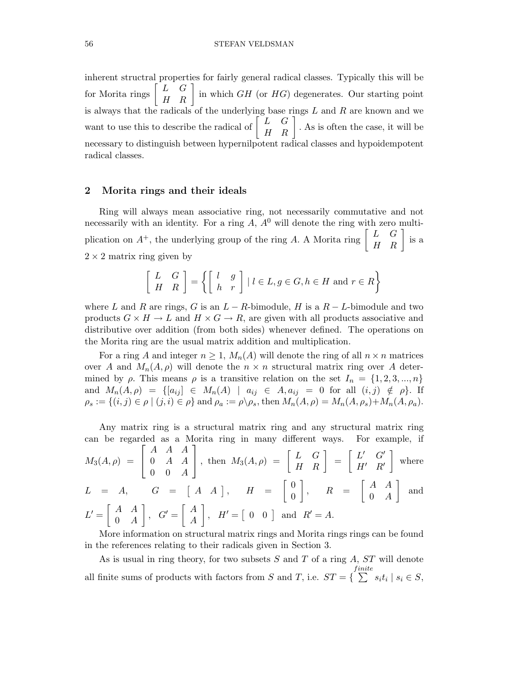#### 56 STEFAN VELDSMAN

inherent structral properties for fairly general radical classes. Typically this will be for Morita rings  $\begin{bmatrix} L & G \\ H & R \end{bmatrix}$  in which  $GH$  (or  $HG$ ) degenerates. Our starting point is always that the radicals of the underlying base rings  $L$  and  $R$  are known and we want to use this to describe the radical of  $\begin{bmatrix} L & G \\ H & R \end{bmatrix}$ . As is often the case, it will be necessary to distinguish between hypernilpotent radical classes and hypoidempotent radical classes.

### 2 Morita rings and their ideals

 $0 \quad A$ 

Ring will always mean associative ring, not necessarily commutative and not necessarily with an identity. For a ring  $A, A<sup>0</sup>$  will denote the ring with zero multiplication on  $A^+$ , the underlying group of the ring A. A Morita ring  $\begin{bmatrix} L & G \\ H & R \end{bmatrix}$  is a  $2 \times 2$  matrix ring given by

$$
\left[\begin{array}{cc} L & G \\ H & R \end{array}\right] = \left\{ \left[\begin{array}{cc} l & g \\ h & r \end{array}\right] \mid l \in L, g \in G, h \in H \text{ and } r \in R \right\}
$$

where L and R are rings, G is an  $L - R$ -bimodule, H is a  $R - L$ -bimodule and two products  $G \times H \to L$  and  $H \times G \to R$ , are given with all products associative and distributive over addition (from both sides) whenever defined. The operations on the Morita ring are the usual matrix addition and multiplication.

For a ring A and integer  $n \geq 1$ ,  $M_n(A)$  will denote the ring of all  $n \times n$  matrices over A and  $M_n(A, \rho)$  will denote the  $n \times n$  structural matrix ring over A determined by  $\rho$ . This means  $\rho$  is a transitive relation on the set  $I_n = \{1, 2, 3, ..., n\}$ and  $M_n(A, \rho) = \{ [a_{ij}] \in M_n(A) \mid a_{ij} \in A, a_{ij} = 0 \text{ for all } (i, j) \notin \rho \}.$  If  $\rho_s := \{(i, j) \in \rho \mid (j, i) \in \rho\}$  and  $\rho_a := \rho \backslash \rho_s$ , then  $M_n(A, \rho) = M_n(A, \rho_s) + M_n(A, \rho_a)$ .

Any matrix ring is a structural matrix ring and any structural matrix ring can be regarded as a Morita ring in many different ways. For example, if

$$
M_3(A,\rho) = \begin{bmatrix} A & A & A \\ 0 & A & A \\ 0 & 0 & A \end{bmatrix}, \text{ then } M_3(A,\rho) = \begin{bmatrix} L & G \\ H & R \end{bmatrix} = \begin{bmatrix} L' & G' \\ H' & R' \end{bmatrix} \text{ where}
$$
  
\n
$$
L = A, \qquad G = \begin{bmatrix} A & A \end{bmatrix}, \quad H = \begin{bmatrix} 0 \\ 0 \end{bmatrix}, \quad R = \begin{bmatrix} A & A \\ 0 & A \end{bmatrix} \text{ and}
$$
  
\n
$$
L' = \begin{bmatrix} A & A \\ 0 & A \end{bmatrix}, \quad G' = \begin{bmatrix} A \\ A \end{bmatrix}, \quad H' = \begin{bmatrix} 0 & 0 \end{bmatrix} \text{ and } R' = A.
$$

More information on structural matrix rings and Morita rings rings can be found in the references relating to their radicals given in Section 3.

A

As is usual in ring theory, for two subsets  $S$  and  $T$  of a ring  $A$ ,  $ST$  will denote all finite sums of products with factors from  $S$  and  $T$ , i.e.  $ST = \{$  $finite$  $\sum s_i t_i \mid s_i \in S,$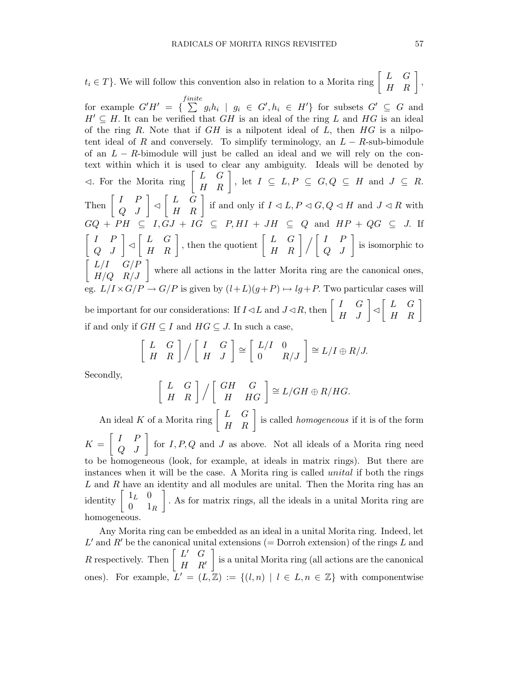$t_i \in T$ }. We will follow this convention also in relation to a Morita ring  $\begin{bmatrix} L & G \\ H & R \end{bmatrix}$ , for example  $G'H' = \{ \sum_{ }^{finite}$  $\sum_{i=1}^{m} g_i h_i \mid g_i \in G', h_i \in H'$  for subsets  $G' \subseteq G$  and  $H' \subseteq H$ . It can be verified that GH is an ideal of the ring L and HG is an ideal of the ring R. Note that if  $GH$  is a nilpotent ideal of  $L$ , then  $HG$  is a nilpotent ideal of R and conversely. To simplify terminology, an  $L - R$ -sub-bimodule of an  $L - R$ -bimodule will just be called an ideal and we will rely on the context within which it is used to clear any ambiguity. Ideals will be denoted by  $\triangleleft$ . For the Morita ring  $\begin{bmatrix} L & G \\ H & R \end{bmatrix}$ , let  $I \subseteq L, P \subseteq G, Q \subseteq H$  and  $J \subseteq R$ . Then  $\begin{bmatrix} I & P \\ Q & J \end{bmatrix} \triangleleft \begin{bmatrix} L & G \\ H & R \end{bmatrix}$  if and only if  $I \triangleleft L, P \triangleleft G, Q \triangleleft H$  and  $J \triangleleft R$  with  $GQ + PH \subseteq I, GJ + IG \subseteq P, HI + JH \subseteq Q$  and  $HP + QG \subseteq J$ . If  $\begin{bmatrix} I & P \\ Q & J \end{bmatrix} \triangleleft \begin{bmatrix} L & G \\ H & R \end{bmatrix}$ , then the quotient  $\begin{bmatrix} L & G \\ H & R \end{bmatrix} / \begin{bmatrix} I & P \\ Q & J \end{bmatrix}$  is isomorphic to  $\begin{bmatrix} L/I & G/P \\ H/Q & R/J \end{bmatrix}$  where all actions in the latter Morita ring are the canonical ones, eg.  $L/I \times G/P \to G/P$  is given by  $(l+L)(g+P) \mapsto lg+P$ . Two particular cases will be important for our considerations: If  $I \triangleleft L$  and  $J \triangleleft R$ , then  $\begin{bmatrix} I & G \\ H & J \end{bmatrix} \triangleleft \begin{bmatrix} L & G \\ H & R \end{bmatrix}$ if and only if  $GH \subseteq I$  and  $HG \subseteq J$ . In such a case,

$$
\left[\begin{array}{cc} L & G \\ H & R \end{array}\right] / \left[\begin{array}{cc} I & G \\ H & J \end{array}\right] \cong \left[\begin{array}{cc} L/I & 0 \\ 0 & R/J \end{array}\right] \cong L/I \oplus R/J.
$$

Secondly,

$$
\left[\begin{array}{cc} L & G \\ H & R \end{array}\right] / \left[\begin{array}{cc} GH & G \\ H & HG \end{array}\right] \cong L/GH \oplus R/HG.
$$

An ideal K of a Morita ring  $\begin{bmatrix} L & G \\ H & R \end{bmatrix}$  is called *homogeneous* if it is of the form  $K = \begin{bmatrix} I & P \\ Q & J \end{bmatrix}$  for I, P, Q and J as above. Not all ideals of a Morita ring need to be homogeneous (look, for example, at ideals in matrix rings). But there are instances when it will be the case. A Morita ring is called unital if both the rings L and R have an identity and all modules are unital. Then the Morita ring has an identity  $\begin{bmatrix} 1_L & 0 \\ 0 & 1 \end{bmatrix}$  $0 \t 1_R$  . As for matrix rings, all the ideals in a unital Morita ring are homogeneous.

Any Morita ring can be embedded as an ideal in a unital Morita ring. Indeed, let L' and R' be the canonical unital extensions (= Dorroh extension) of the rings L and R respectively. Then  $\begin{bmatrix} L' & G \\ H & D \end{bmatrix}$  $H \quad R'$  is a unital Morita ring (all actions are the canonical ones). For example,  $L' = (L, \mathbb{Z}) := \{(l, n) | l \in L, n \in \mathbb{Z}\}\$  with componentwise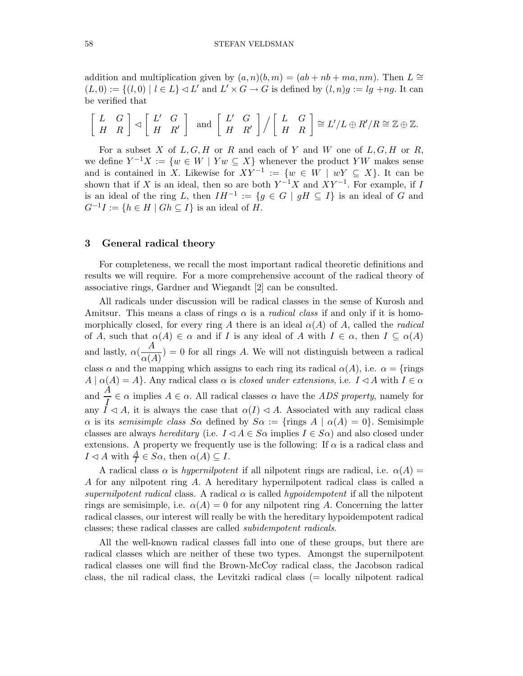addition and multiplication given by  $(a, n)(b, m) = (ab + nb + ma, nm)$ . Then  $L \cong$  $(L, 0) := \{(l, 0) \mid l \in L\} \triangleleft L'$  and  $L' \times G \rightarrow G$  is defined by  $(l, n)g := lg + ng$ . It can be verified that

$$
\left[\begin{array}{cc} L & G \\ H & R \end{array}\right] \lhd \left[\begin{array}{cc} L' & G \\ H & R' \end{array}\right] \text{ and } \left[\begin{array}{cc} L' & G \\ H & R' \end{array}\right] / \left[\begin{array}{cc} L & G \\ H & R \end{array}\right] \cong L'/L \oplus R'/R \cong \mathbb{Z} \oplus \mathbb{Z}.
$$

For a subset X of  $L, G, H$  or R and each of Y and W one of  $L, G, H$  or R, we define  $Y^{-1}X := \{w \in W \mid Yw \subseteq X\}$  whenever the product YW makes sense and is contained in X. Likewise for  $XY^{-1} := \{w \in W \mid wY \subseteq X\}$ . It can be shown that if X is an ideal, then so are both  $Y^{-1}X$  and  $XY^{-1}$ . For example, if I is an ideal of the ring L, then  $IH^{-1} := \{g \in G \mid gH \subseteq I\}$  is an ideal of G and  $G^{-1}I := \{h \in H \mid Gh \subseteq I\}$  is an ideal of H.

### 3 General radical theory

For completeness, we recall the most important radical theoretic definitions and results we will require. For a more comprehensive account of the radical theory of associative rings, Gardner and Wiegandt [2] can be consulted.

All radicals under discussion will be radical classes in the sense of Kurosh and Amitsur. This means a class of rings  $\alpha$  is a *radical class* if and only if it is homomorphically closed, for every ring A there is an ideal  $\alpha(A)$  of A, called the *radical* of A, such that  $\alpha(A) \in \alpha$  and if I is any ideal of A with  $I \in \alpha$ , then  $I \subseteq \alpha(A)$ and lastly,  $\alpha(\frac{A}{\sqrt{A}})$  $\frac{d^{(4)}}{\alpha(A)}$  = 0 for all rings A. We will not distinguish between a radical class  $\alpha$  and the mapping which assigns to each ring its radical  $\alpha(A)$ , i.e.  $\alpha = \{ \text{rings}$  $A \mid \alpha(A) = A$ . Any radical class  $\alpha$  is *closed under extensions*, i.e.  $I \lhd A$  with  $I \in \alpha$ and  $\frac{A}{I} \in \alpha$  implies  $A \in \alpha$ . All radical classes  $\alpha$  have the *ADS property*, namely for any  $\tilde{I} \triangleleft A$ , it is always the case that  $\alpha(I) \triangleleft A$ . Associated with any radical class  $\alpha$  is its semisimple class  $S\alpha$  defined by  $S\alpha := \{ \text{rings } A \mid \alpha(A) = 0 \}$ . Semisimple classes are always *hereditary* (i.e.  $I \triangleleft A \in S \alpha$  implies  $I \in S \alpha$ ) and also closed under extensions. A property we frequently use is the following: If  $\alpha$  is a radical class and  $I \lhd A$  with  $\frac{A}{I} \in S\alpha$ , then  $\alpha(A) \subseteq I$ .

A radical class  $\alpha$  is *hypernilpotent* if all nilpotent rings are radical, i.e.  $\alpha(A)$  = A for any nilpotent ring A. A hereditary hypernilpotent radical class is called a supernilpotent radical class. A radical  $\alpha$  is called hypoidempotent if all the nilpotent rings are semisimple, i.e.  $\alpha(A) = 0$  for any nilpotent ring A. Concerning the latter radical classes, our interest will really be with the hereditary hypoidempotent radical classes; these radical classes are called subidempotent radicals.

All the well-known radical classes fall into one of these groups, but there are radical classes which are neither of these two types. Amongst the supernilpotent radical classes one will find the Brown-McCoy radical class, the Jacobson radical class, the nil radical class, the Levitzki radical class (= locally nilpotent radical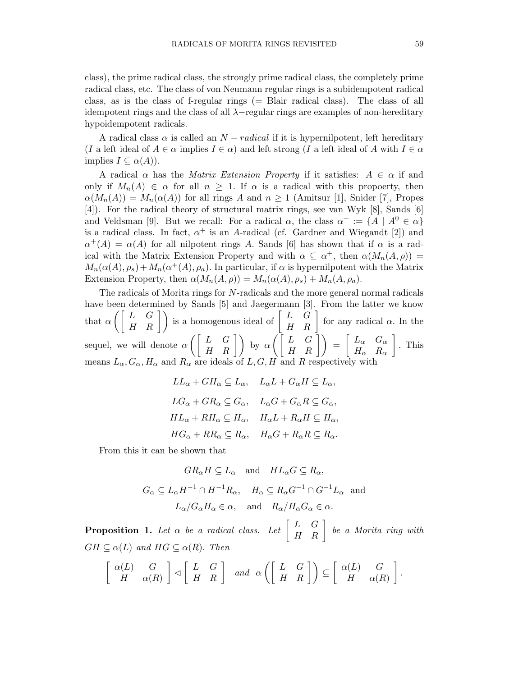class), the prime radical class, the strongly prime radical class, the completely prime radical class, etc. The class of von Neumann regular rings is a subidempotent radical class, as is the class of f-regular rings  $(=$  Blair radical class). The class of all idempotent rings and the class of all λ−regular rings are examples of non-hereditary hypoidempotent radicals.

A radical class  $\alpha$  is called an  $N - radical$  if it is hypernilpotent, left hereditary (I a left ideal of  $A \in \alpha$  implies  $I \in \alpha$ ) and left strong (I a left ideal of A with  $I \in \alpha$ implies  $I \subseteq \alpha(A)$ ).

A radical  $\alpha$  has the *Matrix Extension Property* if it satisfies:  $A \in \alpha$  if and only if  $M_n(A) \in \alpha$  for all  $n \geq 1$ . If  $\alpha$  is a radical with this propoerty, then  $\alpha(M_n(A)) = M_n(\alpha(A))$  for all rings A and  $n \geq 1$  (Amitsur [1], Snider [7], Propes [4]). For the radical theory of structural matrix rings, see van Wyk [8], Sands [6] and Veldsman [9]. But we recall: For a radical  $\alpha$ , the class  $\alpha^+ := \{A \mid A^0 \in \alpha\}$ is a radical class. In fact,  $\alpha^+$  is an A-radical (cf. Gardner and Wiegandt [2]) and  $\alpha^{+}(A) = \alpha(A)$  for all nilpotent rings A. Sands [6] has shown that if  $\alpha$  is a radical with the Matrix Extension Property and with  $\alpha \subseteq \alpha^+$ , then  $\alpha(M_n(A,\rho)) =$  $M_n(\alpha(A), \rho_s) + M_n(\alpha^+(A), \rho_a)$ . In particular, if  $\alpha$  is hypernilpotent with the Matrix Extension Property, then  $\alpha(M_n(A, \rho)) = M_n(\alpha(A), \rho_s) + M_n(A, \rho_a)$ .

The radicals of Morita rings for N-radicals and the more general normal radicals have been determined by Sands [5] and Jaegermann [3]. From the latter we know that  $\alpha \left( \begin{bmatrix} L & G \\ H & R \end{bmatrix} \right)$  is a homogenous ideal of  $\begin{bmatrix} L & G \\ H & R \end{bmatrix}$  for any radical  $\alpha$ . In the sequel, we will denote  $\alpha\left(\begin{bmatrix} L & G \\ H & R \end{bmatrix}\right)$  by  $\alpha\left(\begin{bmatrix} L & G \\ H & R \end{bmatrix}\right) = \begin{bmatrix} L_{\alpha} & G_{\alpha} \\ H_{\alpha} & R_{\alpha} \end{bmatrix}$  $H_{\alpha}$   $R_{\alpha}$  $\big]$ . This means  $L_{\alpha}$ ,  $G_{\alpha}$ ,  $H_{\alpha}$  and  $R_{\alpha}$  are ideals of  $L, G, H$  and R respectively with

$$
LL_{\alpha} + GH_{\alpha} \subseteq L_{\alpha}, \quad L_{\alpha}L + G_{\alpha}H \subseteq L_{\alpha},
$$
  

$$
LG_{\alpha} + GR_{\alpha} \subseteq G_{\alpha}, \quad L_{\alpha}G + G_{\alpha}R \subseteq G_{\alpha},
$$
  

$$
HL_{\alpha} + RH_{\alpha} \subseteq H_{\alpha}, \quad H_{\alpha}L + R_{\alpha}H \subseteq H_{\alpha},
$$
  

$$
HG_{\alpha} + RR_{\alpha} \subseteq R_{\alpha}, \quad H_{\alpha}G + R_{\alpha}R \subseteq R_{\alpha}.
$$

From this it can be shown that

$$
GR_{\alpha}H \subseteq L_{\alpha} \text{ and } HL_{\alpha}G \subseteq R_{\alpha},
$$
  

$$
G_{\alpha} \subseteq L_{\alpha}H^{-1} \cap H^{-1}R_{\alpha}, \quad H_{\alpha} \subseteq R_{\alpha}G^{-1} \cap G^{-1}L_{\alpha} \text{ and}
$$
  

$$
L_{\alpha}/G_{\alpha}H_{\alpha} \in \alpha, \text{ and } R_{\alpha}/H_{\alpha}G_{\alpha} \in \alpha.
$$

**Proposition 1.** Let  $\alpha$  be a radical class. Let  $\begin{bmatrix} L & G \\ H & R \end{bmatrix}$  be a Morita ring with  $GH \subseteq \alpha(L)$  and  $HG \subseteq \alpha(R)$ . Then

$$
\left[\begin{array}{cc} \alpha(L) & G \\ H & \alpha(R) \end{array}\right] \triangleleft \left[\begin{array}{cc} L & G \\ H & R \end{array}\right] \quad \text{and} \quad \alpha\left(\left[\begin{array}{cc} L & G \\ H & R \end{array}\right]\right) \subseteq \left[\begin{array}{cc} \alpha(L) & G \\ H & \alpha(R) \end{array}\right].
$$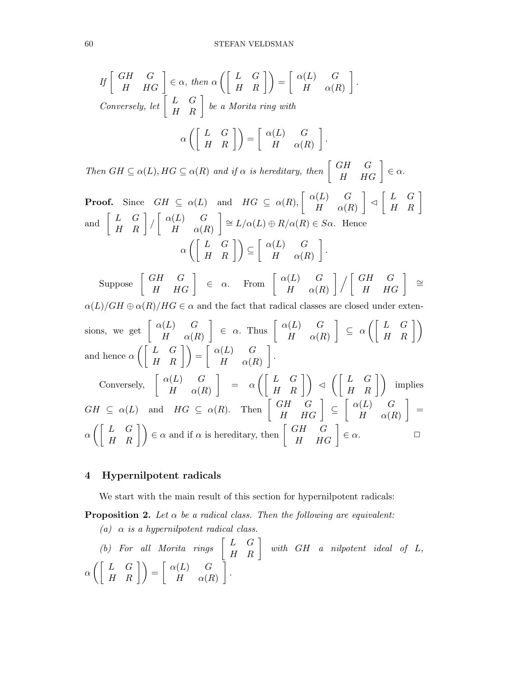$$
If \begin{bmatrix} GH & G \\ H & HG \end{bmatrix} \in \alpha, then \alpha \left( \begin{bmatrix} L & G \\ H & R \end{bmatrix} \right) = \begin{bmatrix} \alpha(L) & G \\ H & \alpha(R) \end{bmatrix}.
$$
  
Conversely, let  $\begin{bmatrix} L & G \\ H & R \end{bmatrix}$  be a Morita ring with  

$$
\alpha \left( \begin{bmatrix} L & G \\ H & R \end{bmatrix} \right) = \begin{bmatrix} \alpha(L) & G \\ H & \alpha(R) \end{bmatrix}.
$$

Then  $GH \subseteq \alpha(L)$ ,  $HG \subseteq \alpha(R)$  and if  $\alpha$  is hereditary, then  $\begin{bmatrix} GH & G \\ H & HG \end{bmatrix} \in \alpha$ . **Proof.** Since  $GH \subseteq \alpha(L)$  and  $HG \subseteq \alpha(R)$ ,  $\begin{bmatrix} \alpha(L) & G \\ H & \alpha(L) \end{bmatrix}$  $H \alpha(R)$  $\Bigg] \triangleleft \Big[ \begin{array}{cc} L & G \\ H & R \end{array} \Bigg]$  $\quad \text{ and } \left[ \begin{array}{cc} L & G \ H & R \end{array} \right] / \left[ \begin{array}{cc} \alpha(L) & G \ H & \alpha(H) \end{array} \right]$  $H \alpha(R)$  $\Big] \cong L/\alpha(L) \oplus R/\alpha(R) \in S\alpha$ . Hence  $\alpha\left(\left[\begin{array}{cc} L & G\ H & R \end{array}\right]\right)\subseteq \left[\begin{array}{cc} \alpha(L) & G\ H & \alpha(R) \end{array}\right]$  $H \alpha(R)$ .

 $\text{Suppose } \left[ \begin{array}{cc} GH & G \ H & HG \end{array} \right] \in \alpha. \quad \text{From } \left[ \begin{array}{cc} \alpha(L) & G \ H & \alpha(H) \end{array} \right]$  $H \alpha(R)$  $\bigg|\bigg/\bigg[\begin{array}{cc} GH & G\ H & HG\end{array}\bigg]\;\cong\;$  $\alpha(L)/GH \oplus \alpha(R)/HG \in \alpha$  and the fact that radical classes are closed under extensions, we get  $\begin{bmatrix} \alpha(L) & G \\ H & G \end{bmatrix}$  $H \alpha(R)$  $\begin{bmatrix} \epsilon & \alpha \\ \alpha & \alpha \end{bmatrix}$  and  $\begin{bmatrix} \alpha(L) & G \\ H & \alpha(L) \end{bmatrix}$  $H \alpha(R)$  $\Bigg] \subseteq \alpha \left( \left[ \begin{array}{cc} L & G \\ H & R \end{array} \right] \right)$ and hence  $\alpha \left( \left[ \begin{array}{cc} L & G \\ H & R \end{array} \right] \right) = \left[ \begin{array}{cc} \alpha(L) & G \\ H & \alpha(R) \end{array} \right]$  $H \alpha(R)$  . Conversely,  $\begin{bmatrix} \alpha(L) & G \\ H & G \end{bmatrix}$  $H \alpha(R)$  $\begin{bmatrix} \begin{bmatrix} L & G \ H & R \end{bmatrix} \end{bmatrix} \triangleleft \left( \begin{bmatrix} L & G \ H & R \end{bmatrix} \right) \end{bmatrix}$  implies  $GH \subseteq \alpha(L)$  and  $HG \subseteq \alpha(R)$ . Then  $\begin{bmatrix} GH & G \ H & HG \end{bmatrix} \subseteq \begin{bmatrix} \alpha(L) & G \ H & \alpha(H) \end{bmatrix}$  $H \alpha(R)$  $\Big] =$  $\alpha\left(\begin{bmatrix} L & G \\ H & R \end{bmatrix}\right) \in \alpha$  and if  $\alpha$  is hereditary, then  $\begin{bmatrix} GH & G \\ H & HG \end{bmatrix} \in \alpha$ .

### 4 Hypernilpotent radicals

We start with the main result of this section for hypernilpotent radicals:

**Proposition 2.** Let  $\alpha$  be a radical class. Then the following are equivalent:

(a)  $\alpha$  is a hypernilpotent radical class.

(b) For all Morita rings 
$$
\begin{bmatrix} L & G \\ H & R \end{bmatrix}
$$
 with GH a nilpotent ideal of L,  
 $\alpha \left( \begin{bmatrix} L & G \\ H & R \end{bmatrix} \right) = \begin{bmatrix} \alpha(L) & G \\ H & \alpha(R) \end{bmatrix}$ .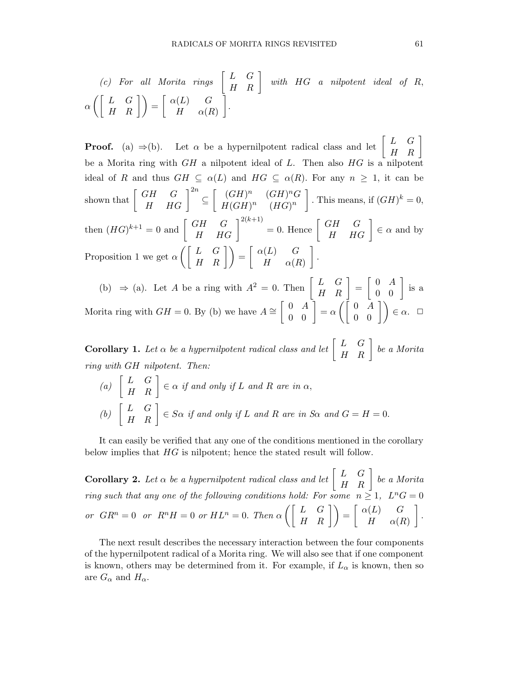(c) For all Morita rings 
$$
\begin{bmatrix} L & G \\ H & R \end{bmatrix}
$$
 with HG a nilpotent ideal of R,  
 $\alpha \left( \begin{bmatrix} L & G \\ H & R \end{bmatrix} \right) = \begin{bmatrix} \alpha(L) & G \\ H & \alpha(R) \end{bmatrix}$ .

**Proof.** (a)  $\Rightarrow$  (b). Let  $\alpha$  be a hypernilpotent radical class and let  $\begin{bmatrix} L & G \\ H & R \end{bmatrix}$ be a Morita ring with  $GH$  a nilpotent ideal of  $L$ . Then also  $HG$  is a nilpotent ideal of R and thus  $GH \subseteq \alpha(L)$  and  $HG \subseteq \alpha(R)$ . For any  $n \geq 1$ , it can be shown that  $\begin{bmatrix} GH & G \\ H & HG \end{bmatrix}^{2n} \subseteq \begin{bmatrix} (GH)^n & (GH)^n G \\ H(GH)^n & (HG)^n \end{bmatrix}$  $H(GH)^n$   $(HG)^n$ . This means, if  $(GH)^k = 0$ , then  $(HG)^{k+1} = 0$  and  $\begin{bmatrix} GH & G \\ H & HG \end{bmatrix}^{2(k+1)} = 0$ . Hence  $\begin{bmatrix} GH & G \\ H & HG \end{bmatrix} \in \alpha$  and by Proposition 1 we get  $\alpha \left( \left[ \begin{array}{cc} L & G \\ H & R \end{array} \right] \right) = \left[ \begin{array}{cc} \alpha(L) & G \\ H & \alpha(R) \end{array} \right]$  $H \alpha(R)$ .

(b)  $\Rightarrow$  (a). Let A be a ring with  $A^2 = 0$ . Then  $\begin{bmatrix} L & G \\ H & R \end{bmatrix} = \begin{bmatrix} 0 & A \\ 0 & 0 \end{bmatrix}$  is a Morita ring with  $GH = 0$ . By (b) we have  $A \cong \begin{bmatrix} 0 & A \\ 0 & 0 \end{bmatrix} = \alpha \begin{pmatrix} 0 & A \\ 0 & 0 \end{pmatrix} \in \alpha$ .  $\Box$ 

**Corollary 1.** Let  $\alpha$  be a hypernilpotent radical class and let  $\begin{bmatrix} L & G \\ H & R \end{bmatrix}$  be a Morita ring with GH nilpotent. Then:

(a)  $\begin{bmatrix} L & G \\ H & R \end{bmatrix} \in \alpha$  if and only if L and R are in  $\alpha$ , (b)  $\begin{bmatrix} L & G \\ H & R \end{bmatrix} \in S\alpha$  if and only if L and R are in S $\alpha$  and  $G = H = 0$ .

It can easily be verified that any one of the conditions mentioned in the corollary below implies that HG is nilpotent; hence the stated result will follow.

**Corollary 2.** Let  $\alpha$  be a hypernilpotent radical class and let  $\begin{bmatrix} L & G \\ H & R \end{bmatrix}$  be a Morita ring such that any one of the following conditions hold: For some  $n \geq 1$ ,  $L^nG = 0$ or  $GR^n = 0$  or  $R^n H = 0$  or  $HL^n = 0$ . Then  $\alpha \left( \begin{bmatrix} L & G \\ H & R \end{bmatrix} \right) = \begin{bmatrix} \alpha(L) & G \\ H & \alpha(H) \end{bmatrix}$  $H \alpha(R)$ .

The next result describes the necessary interaction between the four components of the hypernilpotent radical of a Morita ring. We will also see that if one component is known, others may be determined from it. For example, if  $L_{\alpha}$  is known, then so are  $G_{\alpha}$  and  $H_{\alpha}$ .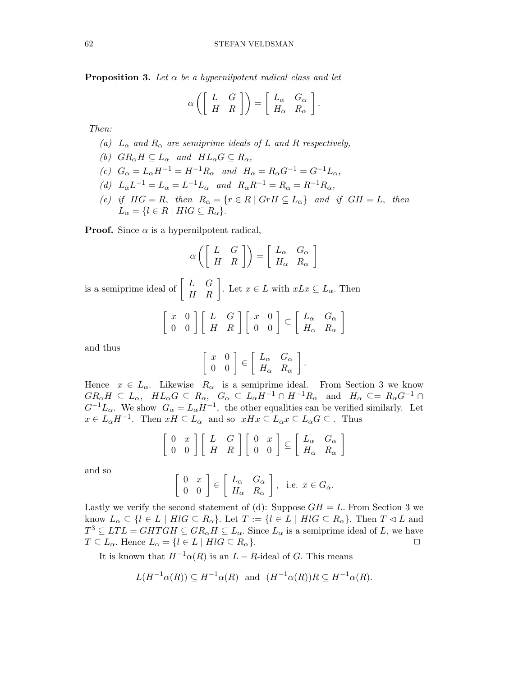**Proposition 3.** Let  $\alpha$  be a hypernilpotent radical class and let

$$
\alpha \left( \left[ \begin{array}{cc} L & G \\ H & R \end{array} \right] \right) = \left[ \begin{array}{cc} L_{\alpha} & G_{\alpha} \\ H_{\alpha} & R_{\alpha} \end{array} \right].
$$

Then:

- (a)  $L_{\alpha}$  and  $R_{\alpha}$  are semiprime ideals of L and R respectively,
- (b)  $GR_{\alpha}H \subseteq L_{\alpha}$  and  $HL_{\alpha}G \subseteq R_{\alpha}$ ,
- (c)  $G_{\alpha} = L_{\alpha}H^{-1} = H^{-1}R_{\alpha}$  and  $H_{\alpha} = R_{\alpha}G^{-1} = G^{-1}L_{\alpha}$ ,
- (d)  $L_{\alpha}L^{-1}=L_{\alpha}=L^{-1}L_{\alpha}$  and  $R_{\alpha}R^{-1}=R_{\alpha}=R^{-1}R_{\alpha}$ ,
- (e) if  $HG = R$ , then  $R_{\alpha} = \{r \in R \mid GrH \subseteq L_{\alpha}\}\$  and if  $GH = L$ , then  $L_{\alpha} = \{l \in R \mid H l G \subseteq R_{\alpha}\}.$

**Proof.** Since  $\alpha$  is a hypernilpotent radical,

$$
\alpha \left( \left[ \begin{array}{cc} L & G \\ H & R \end{array} \right] \right) = \left[ \begin{array}{cc} L_{\alpha} & G_{\alpha} \\ H_{\alpha} & R_{\alpha} \end{array} \right]
$$

is a semiprime ideal of  $\begin{bmatrix} L & G \\ H & R \end{bmatrix}$ . Let  $x \in L$  with  $xLx \subseteq L_{\alpha}$ . Then

$$
\left[\begin{array}{cc} x & 0 \\ 0 & 0 \end{array}\right] \left[\begin{array}{cc} L & G \\ H & R \end{array}\right] \left[\begin{array}{cc} x & 0 \\ 0 & 0 \end{array}\right] \subseteq \left[\begin{array}{cc} L_{\alpha} & G_{\alpha} \\ H_{\alpha} & R_{\alpha} \end{array}\right]
$$

and thus

$$
\left[\begin{array}{cc} x & 0 \\ 0 & 0 \end{array}\right] \in \left[\begin{array}{cc} L_{\alpha} & G_{\alpha} \\ H_{\alpha} & R_{\alpha} \end{array}\right].
$$

Hence  $x \in L_{\alpha}$ . Likewise  $R_{\alpha}$  is a semiprime ideal. From Section 3 we know  $GR_{\alpha}H \subseteq L_{\alpha}$ ,  $HL_{\alpha}G \subseteq R_{\alpha}$ ,  $G_{\alpha} \subseteq L_{\alpha}H^{-1} \cap H^{-1}R_{\alpha}$  and  $H_{\alpha} \subseteq = R_{\alpha}G^{-1} \cap$  $G^{-1}L_{\alpha}$ . We show  $G_{\alpha} = L_{\alpha}H^{-1}$ , the other equalities can be verified similarly. Let  $x \in L_{\alpha} H^{-1}$ . Then  $xH \subseteq L_{\alpha}$  and so  $xHx \subseteq L_{\alpha} x \subseteq L_{\alpha} G \subseteq$ . Thus

$$
\left[\begin{array}{cc} 0 & x \\ 0 & 0 \end{array}\right] \left[\begin{array}{cc} L & G \\ H & R \end{array}\right] \left[\begin{array}{cc} 0 & x \\ 0 & 0 \end{array}\right] \subseteq \left[\begin{array}{cc} L_{\alpha} & G_{\alpha} \\ H_{\alpha} & R_{\alpha} \end{array}\right]
$$

and so

$$
\begin{bmatrix} 0 & x \\ 0 & 0 \end{bmatrix} \in \begin{bmatrix} L_{\alpha} & G_{\alpha} \\ H_{\alpha} & R_{\alpha} \end{bmatrix}, \text{ i.e. } x \in G_{\alpha}.
$$

Lastly we verify the second statement of (d): Suppose  $GH = L$ . From Section 3 we know  $L_{\alpha} \subseteq \{l \in L \mid H \mid G \subseteq R_{\alpha}\}$ . Let  $T := \{l \in L \mid H \mid G \subseteq R_{\alpha}\}$ . Then  $T \lhd L$  and  $T^3 \subseteq LTL = GHTGH \subseteq GR_\alpha H \subseteq L_\alpha$ . Since  $L_\alpha$  is a semiprime ideal of L, we have  $T \subseteq L_{\alpha}$ . Hence  $L_{\alpha} = \{l \in L \mid H l G \subseteq R_{\alpha}\}.$ 

It is known that  $H^{-1}\alpha(R)$  is an  $L - R$ -ideal of G. This means

$$
L(H^{-1}\alpha(R)) \subseteq H^{-1}\alpha(R)
$$
 and  $(H^{-1}\alpha(R))R \subseteq H^{-1}\alpha(R)$ .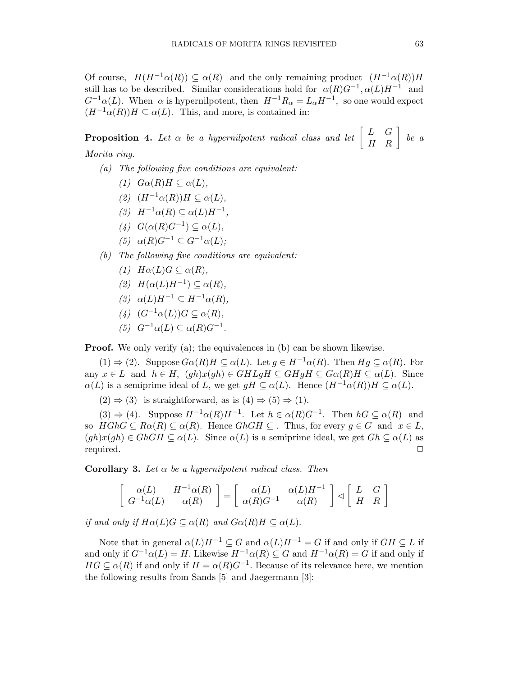Of course,  $H(H^{-1}\alpha(R)) \subseteq \alpha(R)$  and the only remaining product  $(H^{-1}\alpha(R))H$ still has to be described. Similar considerations hold for  $\alpha(R)G^{-1}$ ,  $\alpha(L)H^{-1}$  and  $G^{-1}\alpha(L)$ . When  $\alpha$  is hypernilpotent, then  $H^{-1}R_{\alpha} = L_{\alpha}H^{-1}$ , so one would expect  $(H^{-1}\alpha(R))H \subseteq \alpha(L)$ . This, and more, is contained in:

**Proposition 4.** Let  $\alpha$  be a hypernilpotent radical class and let  $\begin{bmatrix} L & G \\ H & R \end{bmatrix}$  be a Morita ring.

- (a) The following five conditions are equivalent:
	- (1)  $G\alpha(R)H \subseteq \alpha(L)$ ,
	- (2)  $(H^{-1}\alpha(R))H \subseteq \alpha(L),$
	- (3)  $H^{-1}\alpha(R) \subseteq \alpha(L)H^{-1}$ ,
	- (4)  $G(\alpha(R)G^{-1}) \subseteq \alpha(L)$ ,
	- (5)  $\alpha(R)G^{-1} \subset G^{-1}\alpha(L);$
- (b) The following five conditions are equivalent:
	- (1)  $H\alpha(L)G \subseteq \alpha(R)$ ,
	- (2)  $H(\alpha(L)H^{-1}) \subseteq \alpha(R)$ ,
	- (3)  $\alpha(L)H^{-1} \subset H^{-1}\alpha(R)$ ,
	- (4)  $(G^{-1}\alpha(L))G \subseteq \alpha(R)$ ,
	- (5)  $G^{-1}\alpha(L) \subseteq \alpha(R)G^{-1}$ .

**Proof.** We only verify (a); the equivalences in (b) can be shown likewise.

 $(1) \Rightarrow (2)$ . Suppose  $G\alpha(R)H \subseteq \alpha(L)$ . Let  $g \in H^{-1}\alpha(R)$ . Then  $Hg \subseteq \alpha(R)$ . For any  $x \in L$  and  $h \in H$ ,  $(gh)x(gh) \in GHLgH \subseteq GHgH \subseteq G\alpha(R)H \subseteq \alpha(L)$ . Since  $\alpha(L)$  is a semiprime ideal of L, we get  $gH \subseteq \alpha(L)$ . Hence  $(H^{-1}\alpha(R))H \subseteq \alpha(L)$ .

 $(2) \Rightarrow (3)$  is straightforward, as is  $(4) \Rightarrow (5) \Rightarrow (1)$ .

 $(3) \Rightarrow (4)$ . Suppose  $H^{-1}\alpha(R)H^{-1}$ . Let  $h \in \alpha(R)G^{-1}$ . Then  $hG \subseteq \alpha(R)$  and so  $HGR \subseteq R\alpha(R) \subseteq \alpha(R)$ . Hence  $GhGH \subseteq$ . Thus, for every  $g \in G$  and  $x \in L$ ,  $(gh)x(gh) \in GhGH \subseteq \alpha(L)$ . Since  $\alpha(L)$  is a semiprime ideal, we get  $Gh \subseteq \alpha(L)$  as required. ✷

Corollary 3. Let  $\alpha$  be a hypernilpotent radical class. Then

$$
\left[\begin{array}{cc} \alpha(L) & H^{-1}\alpha(R)\\ G^{-1}\alpha(L) & \alpha(R) \end{array}\right] = \left[\begin{array}{cc} \alpha(L) & \alpha(L)H^{-1}\\ \alpha(R)G^{-1} & \alpha(R) \end{array}\right] \lhd \left[\begin{array}{cc} L & G\\ H & R \end{array}\right]
$$

if and only if  $H\alpha(L)G \subseteq \alpha(R)$  and  $G\alpha(R)H \subseteq \alpha(L)$ .

Note that in general  $\alpha(L)H^{-1} \subset G$  and  $\alpha(L)H^{-1} = G$  if and only if  $GH \subset L$  if and only if  $G^{-1}\alpha(L) = H$ . Likewise  $H^{-1}\alpha(R) \subseteq G$  and  $H^{-1}\alpha(R) = G$  if and only if  $HG \subseteq \alpha(R)$  if and only if  $H = \alpha(R)G^{-1}$ . Because of its relevance here, we mention the following results from Sands [5] and Jaegermann [3]: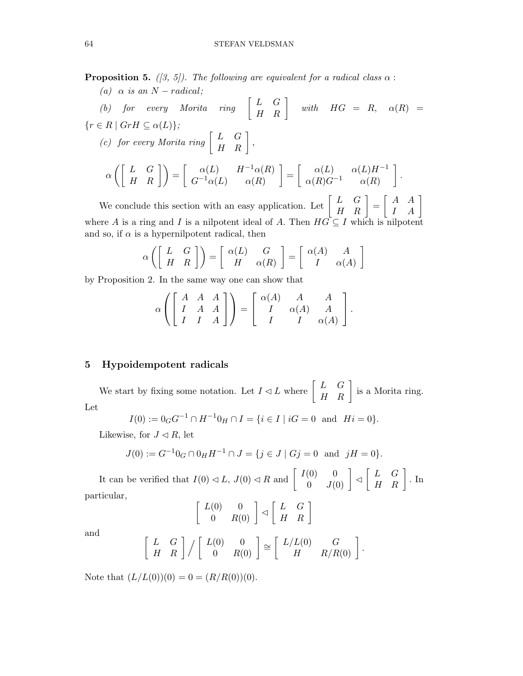**Proposition 5.** ([3, 5]). The following are equivalent for a radical class  $\alpha$ :

(a) 
$$
\alpha
$$
 is an  $N$  – radical;  
\n(b) for every Morita ring  $\begin{bmatrix} L & G \\ H & R \end{bmatrix}$  with  $H G = R$ ,  $\alpha(R) =$   
\n{ $r \in R | Gr H \subseteq \alpha(L) \};$   
\n(c) for every Morita ring  $\begin{bmatrix} L & G \\ H & R \end{bmatrix}$ ,  
\n $\alpha \left( \begin{bmatrix} L & G \\ H & R \end{bmatrix} \right) = \begin{bmatrix} \alpha(L) & H^{-1} \alpha(R) \\ G^{-1} \alpha(L) & \alpha(R) \end{bmatrix} = \begin{bmatrix} \alpha(L) & \alpha(L)H^{-1} \\ \alpha(R)G^{-1} & \alpha(R) \end{bmatrix}.$ 

We conclude this section with an easy application. Let  $\begin{bmatrix} L & G \\ H & R \end{bmatrix} = \begin{bmatrix} A & A \\ I & A \end{bmatrix}$ where A is a ring and I is a nilpotent ideal of A. Then  $HG \subseteq I$  which is nilpotent and so, if  $\alpha$  is a hypernilpotent radical, then

$$
\alpha \left( \left[ \begin{array}{cc} L & G \\ H & R \end{array} \right] \right) = \left[ \begin{array}{cc} \alpha(L) & G \\ H & \alpha(R) \end{array} \right] = \left[ \begin{array}{cc} \alpha(A) & A \\ I & \alpha(A) \end{array} \right]
$$

by Proposition 2. In the same way one can show that

$$
\alpha \left( \begin{bmatrix} A & A & A \\ I & A & A \\ I & I & A \end{bmatrix} \right) = \begin{bmatrix} \alpha(A) & A & A \\ I & \alpha(A) & A \\ I & I & \alpha(A) \end{bmatrix}.
$$

#### 5 Hypoidempotent radicals

We start by fixing some notation. Let  $I \lhd L$  where  $\begin{bmatrix} L & G \\ H & R \end{bmatrix}$  is a Morita ring. Let

$$
I(0) := 0_G G^{-1} \cap H^{-1} 0_H \cap I = \{ i \in I \mid iG = 0 \text{ and } Hi = 0 \}.
$$

Likewise, for  $J \lhd R$ , let

$$
J(0) := G^{-1}0_G \cap 0_H H^{-1} \cap J = \{ j \in J \mid Gj = 0 \text{ and } jH = 0 \}.
$$

It can be verified that  $I(0) \lhd L$ ,  $J(0) \lhd R$  and  $\begin{bmatrix} I(0) & 0 \\ 0 & J(0) \end{bmatrix} \lhd \begin{bmatrix} L & G \\ H & R \end{bmatrix}$ . In particular,

$$
\left[\begin{array}{cc}L(0) & 0 \\0 & R(0)\end{array}\right] \lhd \left[\begin{array}{cc}L & G \\H & R\end{array}\right]
$$

and

$$
\left[\begin{array}{cc} L & G \\ H & R \end{array}\right] / \left[\begin{array}{cc} L(0) & 0 \\ 0 & R(0) \end{array}\right] \cong \left[\begin{array}{cc} L/L(0) & G \\ H & R/R(0) \end{array}\right].
$$

Note that  $(L/L(0))(0) = 0 = (R/R(0))(0)$ .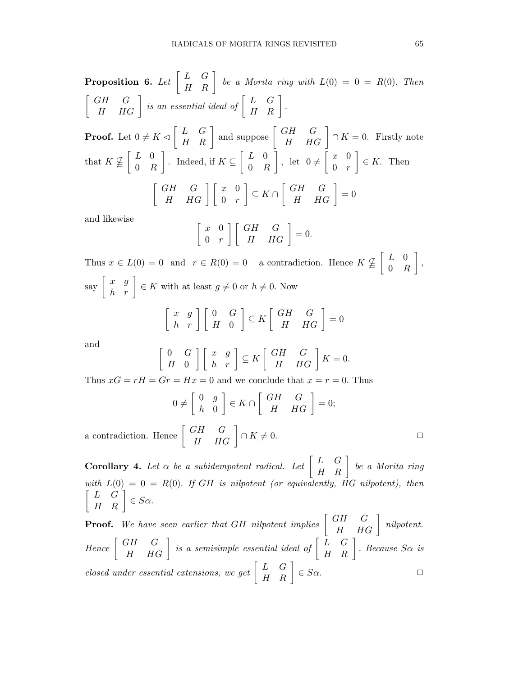**Proposition 6.** Let 
$$
\begin{bmatrix} L & G \\ H & R \end{bmatrix}
$$
 be a Morita ring with  $L(0) = 0 = R(0)$ . Then  
\n $\begin{bmatrix} GH & G \\ H & HG \end{bmatrix}$  is an essential ideal of  $\begin{bmatrix} L & G \\ H & R \end{bmatrix}$ .  
\n**Proof.** Let  $0 \neq K \triangleleft \begin{bmatrix} L & G \\ H & R \end{bmatrix}$  and suppose  $\begin{bmatrix} GH & G \\ H & HG \end{bmatrix} \cap K = 0$ . Firstly note  
\nthat  $K \nsubseteq \begin{bmatrix} L & 0 \\ 0 & R \end{bmatrix}$ . Indeed, if  $K \subseteq \begin{bmatrix} L & 0 \\ 0 & R \end{bmatrix}$ , let  $0 \neq \begin{bmatrix} x & 0 \\ 0 & r \end{bmatrix} \in K$ . Then  
\n $\begin{bmatrix} GH & G \\ H & HG \end{bmatrix} \begin{bmatrix} x & 0 \\ 0 & r \end{bmatrix} \subseteq K \cap \begin{bmatrix} GH & G \\ H & HG \end{bmatrix} = 0$ 

and likewise

$$
\left[\begin{array}{cc} x & 0 \\ 0 & r \end{array}\right] \left[\begin{array}{cc} GH & G \\ H & HG \end{array}\right] = 0.
$$

Thus  $x \in L(0) = 0$  and  $r \in R(0) = 0$  – a contradiction. Hence  $K \nsubseteq \begin{bmatrix} L & 0 \\ 0 & I \end{bmatrix}$ 0 R , say  $\begin{bmatrix} x & g \\ h & r \end{bmatrix} \in K$  with at least  $g \neq 0$  or  $h \neq 0$ . Now  $\left[\begin{array}{cc} x & g \\ h & r \end{array}\right] \left[\begin{array}{cc} 0 & G \\ H & 0 \end{array}\right]$  $\begin{bmatrix} \subseteq K \begin{bmatrix} GH & G \\ H & HG \end{bmatrix} = 0$ 

and

a contradiction.

 $\lceil$ 

$$
\begin{bmatrix} 0 & G \\ H & 0 \end{bmatrix} \begin{bmatrix} x & g \\ h & r \end{bmatrix} \subseteq K \begin{bmatrix} GH & G \\ H & HG \end{bmatrix} K = 0.
$$

Thus  $xG = rH = Gr = Hx = 0$  and we conclude that  $x = r = 0$ . Thus

$$
0 \neq \begin{bmatrix} 0 & g \\ h & 0 \end{bmatrix} \in K \cap \begin{bmatrix} GH & G \\ H & HG \end{bmatrix} = 0;
$$
  
Hence 
$$
\begin{bmatrix} GH & G \\ H & HG \end{bmatrix} \cap K \neq 0.
$$

**Corollary 4.** Let  $\alpha$  be a subidempotent radical. Let  $\begin{bmatrix} L & G \\ H & R \end{bmatrix}$  be a Morita ring with  $L(0) = 0 = R(0)$ . If GH is nilpotent (or equivalently, HG nilpotent), then  $\begin{bmatrix} L & G \\ H & R \end{bmatrix} \in S\alpha.$ 

**Proof.** We have seen earlier that GH nilpotent implies  $\begin{bmatrix} GH & G \\ H & HG \end{bmatrix}$  nilpotent. Hence  $\begin{bmatrix} GH & G \\ H & HG \end{bmatrix}$  is a semisimple essential ideal of  $\begin{bmatrix} L & G \\ H & R \end{bmatrix}$ . Because  $S\alpha$  is closed under essential extensions, we get  $\begin{bmatrix} L & G \\ H & R \end{bmatrix} \in S_{\alpha}$ .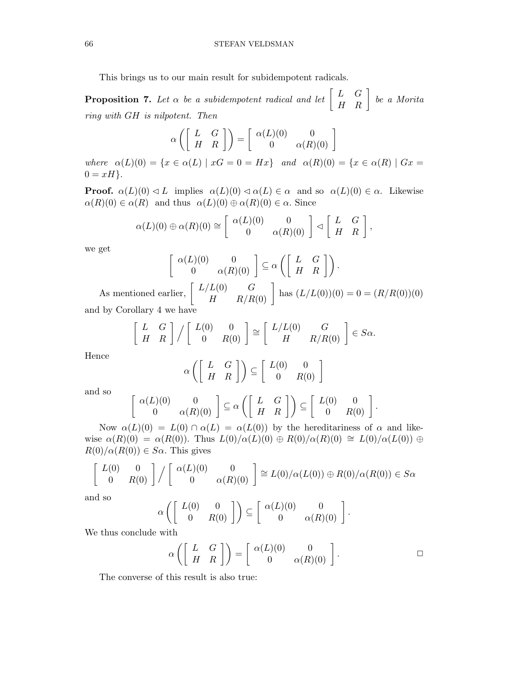This brings us to our main result for subidempotent radicals.

**Proposition 7.** Let  $\alpha$  be a subidempotent radical and let  $\begin{bmatrix} L & G \\ H & R \end{bmatrix}$  be a Morita ring with GH is nilpotent. Then

$$
\alpha \left( \left[ \begin{array}{cc} L & G \\ H & R \end{array} \right] \right) = \left[ \begin{array}{cc} \alpha(L)(0) & 0 \\ 0 & \alpha(R)(0) \end{array} \right]
$$

where  $\alpha(L)(0) = \{x \in \alpha(L) \mid xG = 0 = Hx\}$  and  $\alpha(R)(0) = \{x \in \alpha(R) \mid Gx = 0\}$  $0 = xH$ .

**Proof.**  $\alpha(L)(0) \triangleleft L$  implies  $\alpha(L)(0) \triangleleft \alpha(L) \in \alpha$  and so  $\alpha(L)(0) \in \alpha$ . Likewise  $\alpha(R)(0) \in \alpha(R)$  and thus  $\alpha(L)(0) \oplus \alpha(R)(0) \in \alpha$ . Since

$$
\alpha(L)(0) \oplus \alpha(R)(0) \cong \left[ \begin{array}{cc} \alpha(L)(0) & 0 \\ 0 & \alpha(R)(0) \end{array} \right] \triangleleft \left[ \begin{array}{cc} L & G \\ H & R \end{array} \right],
$$

we get

$$
\left[\begin{array}{cc} \alpha(L)(0) & 0 \\ 0 & \alpha(R)(0) \end{array}\right] \subseteq \alpha\left(\left[\begin{array}{cc} L & G \\ H & R \end{array}\right]\right).
$$

As mentioned earlier,  $\begin{bmatrix} L/L(0) & G \\ H & R/R(0) \end{bmatrix}$  has  $(L/L(0))(0) = 0 = (R/R(0))(0)$ and by Corollary 4 we have

$$
\left[\begin{array}{cc} L & G \\ H & R \end{array}\right] \Big/ \left[\begin{array}{cc} L(0) & 0 \\ 0 & R(0) \end{array}\right] \cong \left[\begin{array}{cc} L/L(0) & G \\ H & R/R(0) \end{array}\right] \in S\alpha.
$$

Hence

$$
\alpha\left(\left[\begin{array}{cc} L & G \\ H & R \end{array}\right]\right) \subseteq \left[\begin{array}{cc} L(0) & 0 \\ 0 & R(0) \end{array}\right]
$$

and so

$$
\begin{array}{c}\n\alpha(L)(0) & 0 \\
0 & \alpha(R)(0)\n\end{array}\n\bigg] \subseteq \alpha \left( \begin{bmatrix} L & G \\
H & R \end{bmatrix} \right) \subseteq \begin{bmatrix} L(0) & 0 \\
0 & R(0) \end{bmatrix}
$$

Now  $\alpha(L)(0) = L(0) \cap \alpha(L) = \alpha(L(0))$  by the hereditariness of  $\alpha$  and likewise  $\alpha(R)(0) = \alpha(R(0))$ . Thus  $L(0)/\alpha(L)(0) \oplus R(0)/\alpha(R)(0) \cong L(0)/\alpha(L(0)) \oplus$  $R(0)/\alpha(R(0)) \in S\alpha$ . This gives

$$
\begin{bmatrix} L(0) & 0 \\ 0 & R(0) \end{bmatrix} / \begin{bmatrix} \alpha(L)(0) & 0 \\ 0 & \alpha(R)(0) \end{bmatrix} \cong L(0) / \alpha(L(0)) \oplus R(0) / \alpha(R(0)) \in S\alpha
$$

and so

$$
\alpha\left(\left[\begin{array}{cc} L(0) & 0 \\ 0 & R(0) \end{array}\right]\right) \subseteq \left[\begin{array}{cc} \alpha(L)(0) & 0 \\ 0 & \alpha(R)(0) \end{array}\right].
$$

We thus conclude with

 $\sqrt{ }$ 

$$
\alpha\left(\left[\begin{array}{cc} L & G \\ H & R \end{array}\right]\right) = \left[\begin{array}{cc} \alpha(L)(0) & 0 \\ 0 & \alpha(R)(0) \end{array}\right].\tag{\Box}
$$

The converse of this result is also true:

$$
\Box
$$

.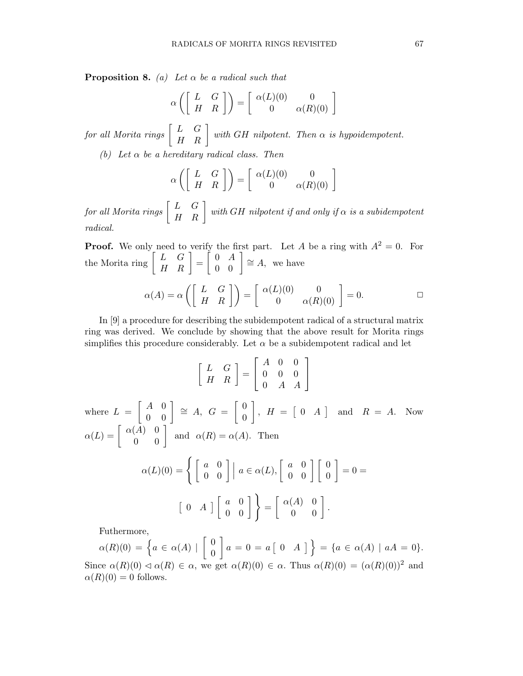**Proposition 8.** (a) Let  $\alpha$  be a radical such that

$$
\alpha \left( \left[ \begin{array}{cc} L & G \\ H & R \end{array} \right] \right) = \left[ \begin{array}{cc} \alpha(L)(0) & 0 \\ 0 & \alpha(R)(0) \end{array} \right]
$$

for all Morita rings  $\begin{bmatrix} L & G \ H & R \end{bmatrix}$  with GH nilpotent. Then  $\alpha$  is hypoidempotent.

(b) Let  $\alpha$  be a hereditary radical class. Then

$$
\alpha \left( \left[ \begin{array}{cc} L & G \\ H & R \end{array} \right] \right) = \left[ \begin{array}{cc} \alpha(L)(0) & 0 \\ 0 & \alpha(R)(0) \end{array} \right]
$$

 ${\it for\ all\ Morita\ rings} \left[ \begin{array}{cc} L & G\ H & R \end{array} \right] \ with\ GH\ nilpotent\ if\ and\ only\ if\ \alpha\ is\ a\ subidempotent\$ radical.

**Proof.** We only need to verify the first part. Let A be a ring with  $A^2 = 0$ . For the Morita ring  $\begin{bmatrix} L & G \\ H & R \end{bmatrix} = \begin{bmatrix} 0 & A \\ 0 & 0 \end{bmatrix} \cong A$ , we have

$$
\alpha(A) = \alpha \left( \begin{bmatrix} L & G \\ H & R \end{bmatrix} \right) = \begin{bmatrix} \alpha(L)(0) & 0 \\ 0 & \alpha(R)(0) \end{bmatrix} = 0.
$$

In [9] a procedure for describing the subidempotent radical of a structural matrix ring was derived. We conclude by showing that the above result for Morita rings simplifies this procedure considerably. Let  $\alpha$  be a subidempotent radical and let

$$
\begin{bmatrix} L & G \\ H & R \end{bmatrix} = \begin{bmatrix} A & 0 & 0 \\ 0 & 0 & 0 \\ 0 & A & A \end{bmatrix}
$$
  
where  $L = \begin{bmatrix} A & 0 \\ 0 & 0 \end{bmatrix} \cong A$ ,  $G = \begin{bmatrix} 0 \\ 0 \end{bmatrix}$ ,  $H = \begin{bmatrix} 0 & A \end{bmatrix}$  and  $R = A$ . Now  

$$
\alpha(L) = \begin{bmatrix} \alpha(A) & 0 \\ 0 & 0 \end{bmatrix}
$$
 and  $\alpha(R) = \alpha(A)$ . Then  

$$
\alpha(L)(0) = \left\{ \begin{bmatrix} a & 0 \\ 0 & 0 \end{bmatrix} \mid a \in \alpha(L), \begin{bmatrix} a & 0 \\ 0 & 0 \end{bmatrix} \begin{bmatrix} 0 \\ 0 \end{bmatrix} = 0 = \begin{bmatrix} 0 & A \end{bmatrix} \begin{bmatrix} a & 0 \\ 0 & 0 \end{bmatrix} \right\} = \begin{bmatrix} \alpha(A) & 0 \\ 0 & 0 \end{bmatrix}.
$$

Futhermore,

$$
\alpha(R)(0) = \left\{ a \in \alpha(A) \mid \begin{bmatrix} 0 \\ 0 \end{bmatrix} a = 0 = a \begin{bmatrix} 0 & A \end{bmatrix} \right\} = \left\{ a \in \alpha(A) \mid aA = 0 \right\}.
$$
  
Since  $\alpha(R)(0) \triangleleft \alpha(R) \in \alpha$ , we get  $\alpha(R)(0) \in \alpha$ . Thus  $\alpha(R)(0) = (\alpha(R)(0))^2$  and  $\alpha(R)(0) = 0$  follows.